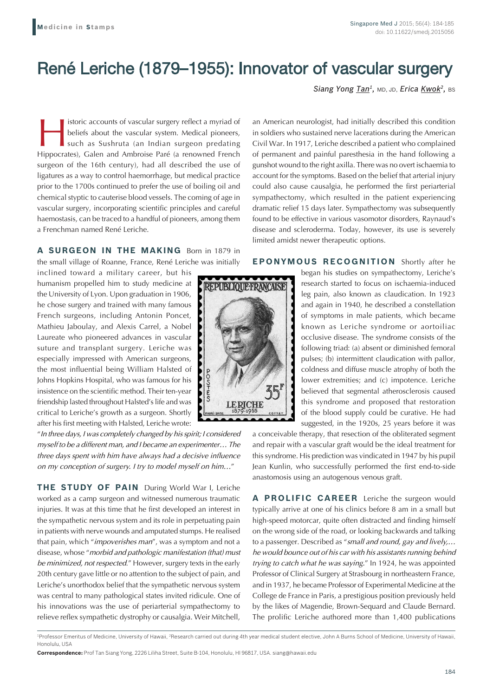# René Leriche (1879–1955): Innovator of vascular surgery

*Siang Yong Tan1,* MD, JD, *Erica Kwok2,* BS

istoric accounts of vascular surgery reflect a myriad of<br>beliefs about the vascular system. Medical pioneers,<br>such as Sushruta (an Indian surgeon predating<br>Hinnocrates). Galen and Ambroise Paré (a renowned French beliefs about the vascular system. Medical pioneers, such as Sushruta (an Indian surgeon predating Hippocrates), Galen and Ambroise Paré (a renowned French surgeon of the 16th century), had all described the use of ligatures as a way to control haemorrhage, but medical practice prior to the 1700s continued to prefer the use of boiling oil and chemical styptic to cauterise blood vessels. The coming of age in vascular surgery, incorporating scientific principles and careful haemostasis, can be traced to a handful of pioneers, among them a Frenchman named René Leriche.

## **A SURGEON IN THE MAKING** Born in 1879 in the small village of Roanne, France, René Leriche was initially

inclined toward a military career, but his humanism propelled him to study medicine at the University of Lyon. Upon graduation in 1906, he chose surgery and trained with many famous French surgeons, including Antonin Poncet, Mathieu Jaboulay, and Alexis Carrel, a Nobel Laureate who pioneered advances in vascular suture and transplant surgery. Leriche was especially impressed with American surgeons, the most influential being William Halsted of Johns Hopkins Hospital, who was famous for his insistence on the scientific method. Their ten-year friendship lasted throughout Halsted's life and was critical to Leriche's growth as a surgeon. Shortly after his first meeting with Halsted, Leriche wrote:

"*In three days, I was completely changed by his spirit; I considered myself to be a different man, and I became an experimenter… The three days spent with him have always had a decisive influence on my conception of surgery. I try to model myself on him…*"

**THE STUDY OF PAIN** During World War I, Leriche worked as a camp surgeon and witnessed numerous traumatic injuries. It was at this time that he first developed an interest in the sympathetic nervous system and its role in perpetuating pain in patients with nerve wounds and amputated stumps. He realised that pain, which "*impoverishes man*", was a symptom and not a disease, whose "*morbid and pathologic manifestation (that) must be minimized, not respected*." However, surgery texts in the early 20th century gave little or no attention to the subject of pain, and Leriche's unorthodox belief that the sympathetic nervous system was central to many pathological states invited ridicule. One of his innovations was the use of periarterial sympathectomy to relieve reflex sympathetic dystrophy or causalgia. Weir Mitchell,

REPUBLIQUEFRANCAISE OUN-NOD **35F CHE** 

gunshot wound to the right axilla. There was no overt ischaemia to account for the symptoms. Based on the belief that arterial injury could also cause causalgia, he performed the first periarterial sympathectomy, which resulted in the patient experiencing dramatic relief 15 days later. Sympathectomy was subsequently found to be effective in various vasomotor disorders, Raynaud's disease and scleroderma. Today, however, its use is severely limited amidst newer therapeutic options.

an American neurologist, had initially described this condition in soldiers who sustained nerve lacerations during the American Civil War. In 1917, Leriche described a patient who complained of permanent and painful paresthesia in the hand following a

# **EPONYMOUS RECOGNITION** Shortly after he

began his studies on sympathectomy, Leriche's research started to focus on ischaemia-induced leg pain, also known as claudication. In 1923 and again in 1940, he described a constellation of symptoms in male patients, which became known as Leriche syndrome or aortoiliac occlusive disease. The syndrome consists of the following triad: (a) absent or diminished femoral pulses; (b) intermittent claudication with pallor, coldness and diffuse muscle atrophy of both the lower extremities; and (c) impotence. Leriche believed that segmental atherosclerosis caused this syndrome and proposed that restoration of the blood supply could be curative. He had suggested, in the 1920s, 25 years before it was

a conceivable therapy, that resection of the obliterated segment and repair with a vascular graft would be the ideal treatment for this syndrome. His prediction was vindicated in 1947 by his pupil Jean Kunlin, who successfully performed the first end-to-side anastomosis using an autogenous venous graft.

**A PROLIFIC CAREER** Leriche the surgeon would typically arrive at one of his clinics before 8 am in a small but high-speed motorcar, quite often distracted and finding himself on the wrong side of the road, or looking backwards and talking to a passenger. Described as "*small and round, gay and lively,… he would bounce out of his car with his assistants running behind trying to catch what he was saying.*" In 1924, he was appointed Professor of Clinical Surgery at Strasbourg in northeastern France, and in 1937, he became Professor of Experimental Medicine at the College de France in Paris, a prestigious position previously held by the likes of Magendie, Brown-Sequard and Claude Bernard. The prolific Leriche authored more than 1,400 publications

<sup>1</sup>Professor Emeritus of Medicine, University of Hawaii, <sup>2</sup>Research carried out during 4th year medical student elective, John A Burns School of Medicine, University of Hawaii, Honolulu, USA

**Correspondence:** Prof Tan Siang Yong, 2226 Liliha Street, Suite B-104, Honolulu, HI 96817, USA. siang@hawaii.edu